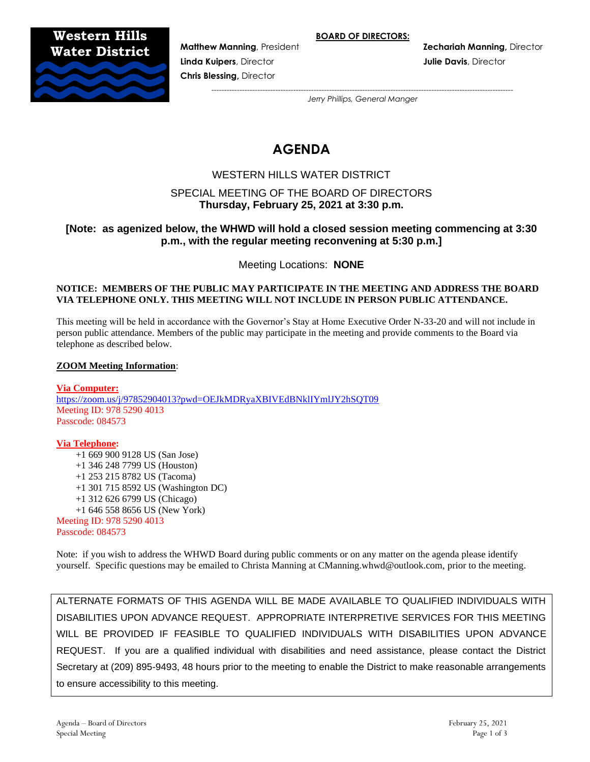**BOARD OF DIRECTORS:**

**Western Hills Water District**



**Linda Kuipers**, Director **Julie Davis**, Director **Chris Blessing,** Director

*---------------------------------------------------------------------------------------------------------------------- Jerry Phillips, General Manger*

# **AGENDA**

# WESTERN HILLS WATER DISTRICT

# SPECIAL MEETING OF THE BOARD OF DIRECTORS **Thursday, February 25, 2021 at 3:30 p.m.**

# **[Note: as agenized below, the WHWD will hold a closed session meeting commencing at 3:30 p.m., with the regular meeting reconvening at 5:30 p.m.]**

Meeting Locations: **NONE**

#### **NOTICE: MEMBERS OF THE PUBLIC MAY PARTICIPATE IN THE MEETING AND ADDRESS THE BOARD VIA TELEPHONE ONLY. THIS MEETING WILL NOT INCLUDE IN PERSON PUBLIC ATTENDANCE.**

This meeting will be held in accordance with the Governor's Stay at Home Executive Order N-33-20 and will not include in person public attendance. Members of the public may participate in the meeting and provide comments to the Board via telephone as described below.

#### **ZOOM Meeting Information**:

**Via Computer:** <https://zoom.us/j/97852904013?pwd=OEJkMDRyaXBIVEdBNklIYmlJY2hSQT09> Meeting ID: 978 5290 4013 Passcode: 084573

**Via Telephone:**  +1 669 900 9128 US (San Jose) +1 346 248 7799 US (Houston) +1 253 215 8782 US (Tacoma) +1 301 715 8592 US (Washington DC) +1 312 626 6799 US (Chicago) +1 646 558 8656 US (New York) Meeting ID: 978 5290 4013 Passcode: 084573

Note: if you wish to address the WHWD Board during public comments or on any matter on the agenda please identify yourself. Specific questions may be emailed to Christa Manning at CManning.whwd@outlook.com, prior to the meeting.

ALTERNATE FORMATS OF THIS AGENDA WILL BE MADE AVAILABLE TO QUALIFIED INDIVIDUALS WITH DISABILITIES UPON ADVANCE REQUEST. APPROPRIATE INTERPRETIVE SERVICES FOR THIS MEETING WILL BE PROVIDED IF FEASIBLE TO QUALIFIED INDIVIDUALS WITH DISABILITIES UPON ADVANCE REQUEST. If you are a qualified individual with disabilities and need assistance, please contact the District Secretary at (209) 895-9493, 48 hours prior to the meeting to enable the District to make reasonable arrangements to ensure accessibility to this meeting.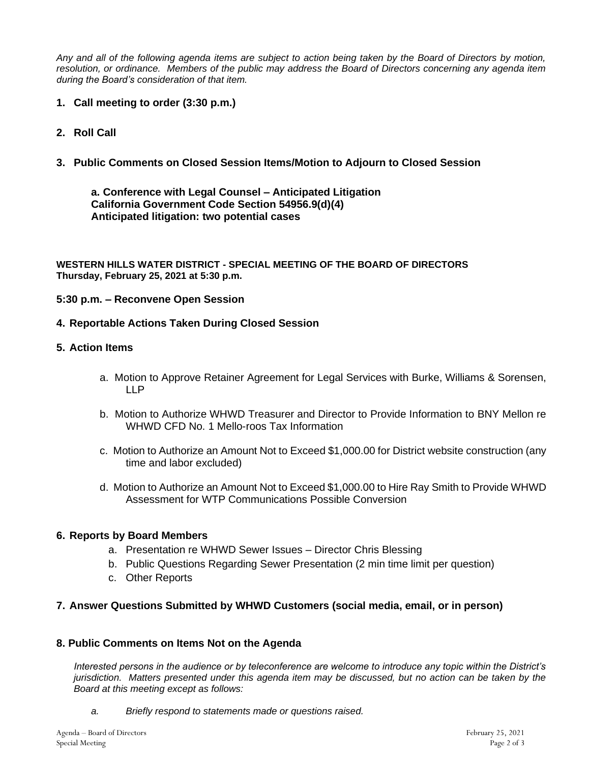*Any and all of the following agenda items are subject to action being taken by the Board of Directors by motion, resolution, or ordinance. Members of the public may address the Board of Directors concerning any agenda item during the Board's consideration of that item.*

- **1. Call meeting to order (3:30 p.m.)**
- **2. Roll Call**
- **3. Public Comments on Closed Session Items/Motion to Adjourn to Closed Session**

**a. Conference with Legal Counsel – Anticipated Litigation California Government Code Section 54956.9(d)(4) Anticipated litigation: two potential cases**

**WESTERN HILLS WATER DISTRICT - SPECIAL MEETING OF THE BOARD OF DIRECTORS Thursday, February 25, 2021 at 5:30 p.m.**

## **5:30 p.m. – Reconvene Open Session**

## **4. Reportable Actions Taken During Closed Session**

## **5. Action Items**

- a. Motion to Approve Retainer Agreement for Legal Services with Burke, Williams & Sorensen, LLP
- b. Motion to Authorize WHWD Treasurer and Director to Provide Information to BNY Mellon re WHWD CFD No. 1 Mello-roos Tax Information
- c. Motion to Authorize an Amount Not to Exceed \$1,000.00 for District website construction (any time and labor excluded)
- d. Motion to Authorize an Amount Not to Exceed \$1,000.00 to Hire Ray Smith to Provide WHWD Assessment for WTP Communications Possible Conversion

# **6. Reports by Board Members**

- a. Presentation re WHWD Sewer Issues Director Chris Blessing
- b. Public Questions Regarding Sewer Presentation (2 min time limit per question)
- c. Other Reports

# **7. Answer Questions Submitted by WHWD Customers (social media, email, or in person)**

### **8. Public Comments on Items Not on the Agenda**

*Interested persons in the audience or by teleconference are welcome to introduce any topic within the District's jurisdiction. Matters presented under this agenda item may be discussed, but no action can be taken by the Board at this meeting except as follows:*

*a. Briefly respond to statements made or questions raised.*